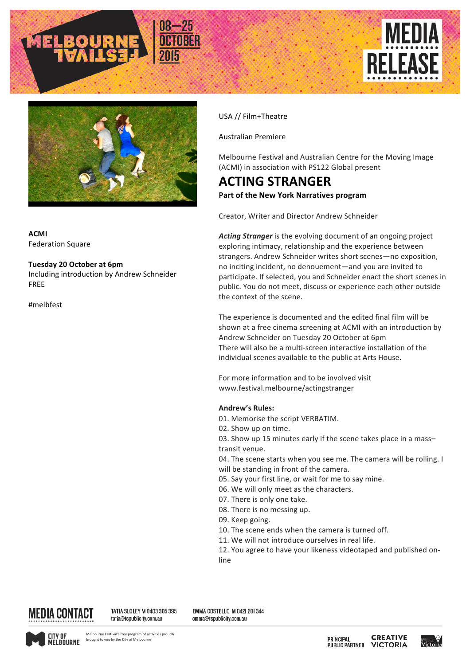





**ACMI** Federation Square

## **Tuesday 20 October at 6pm**

Including introduction by Andrew Schneider FREE

#melbfest

USA // Film+Theatre

Australian Premiere

Melbourne Festival and Australian Centre for the Moving Image (ACMI) in association with PS122 Global present

## **ACTING STRANGER Part of the New York Narratives program**

Creator, Writer and Director Andrew Schneider

Acting Stranger is the evolving document of an ongoing project exploring intimacy, relationship and the experience between strangers. Andrew Schneider writes short scenes—no exposition, no inciting incident, no denouement—and you are invited to participate. If selected, you and Schneider enact the short scenes in public. You do not meet, discuss or experience each other outside the context of the scene.

The experience is documented and the edited final film will be shown at a free cinema screening at ACMI with an introduction by Andrew Schneider on Tuesday 20 October at 6pm There will also be a multi-screen interactive installation of the individual scenes available to the public at Arts House.

For more information and to be involved visit www.festival.melbourne/actingstranger

## **Andrew's Rules:**

- 01. Memorise the script VERBATIM.
- 02. Show up on time.
- 03. Show up 15 minutes early if the scene takes place in a masstransit venue.
- 04. The scene starts when you see me. The camera will be rolling. I will be standing in front of the camera.
- 05. Say your first line, or wait for me to say mine.
- 06. We will only meet as the characters.
- 07. There is only one take.
- 08. There is no messing up.
- 09. Keep going.
- 10. The scene ends when the camera is turned off.
- 11. We will not introduce ourselves in real life.

12. You agree to have your likeness videotaped and published online



TATIA SLOLEY M 0403 305 395 tatia@tspublicity.com.au

EMMA COSTELLO M 042| 20| 344 emma@tspublicity.com.au



**CREATIVE PRINCIPAL PUBLIC PARTNER VICTORIA**